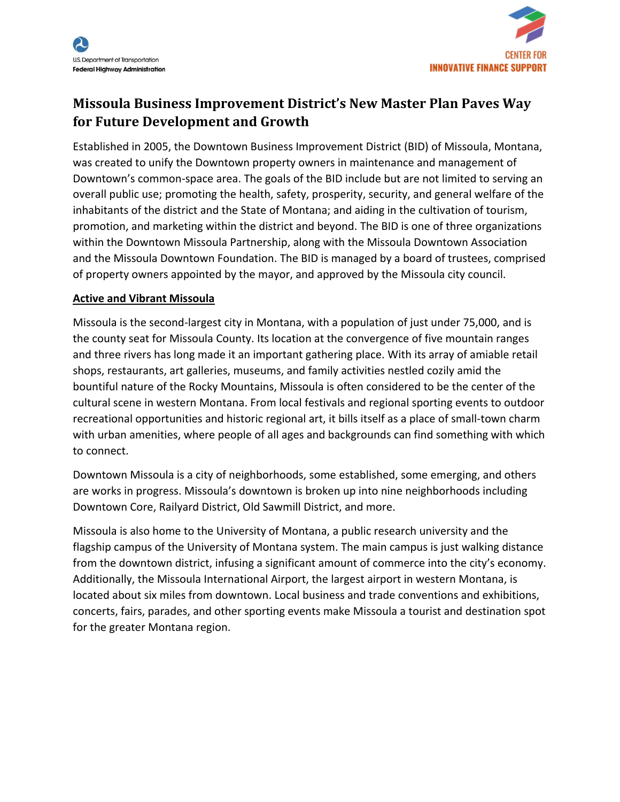

# **Missoula Business Improvement District's New Master Plan Paves Way for Future Development and Growth**

Established in 2005, the Downtown Business Improvement District (BID) of Missoula, Montana, was created to unify the Downtown property owners in maintenance and management of Downtown's common-space area. The goals of the BID include but are not limited to serving an overall public use; promoting the health, safety, prosperity, security, and general welfare of the inhabitants of the district and the State of Montana; and aiding in the cultivation of tourism, promotion, and marketing within the district and beyond. The BID is one of three organizations within the Downtown Missoula Partnership, along with the Missoula Downtown Association and the Missoula Downtown Foundation. The BID is managed by a board of trustees, comprised of property owners appointed by the mayor, and approved by the Missoula city council.

## **Active and Vibrant Missoula**

Missoula is the second-largest city in Montana, with a population of just under 75,000, and is the county seat for Missoula County. Its location at the convergence of five mountain ranges and three rivers has long made it an important gathering place. With its array of amiable retail shops, restaurants, art galleries, museums, and family activities nestled cozily amid the bountiful nature of the Rocky Mountains, Missoula is often considered to be the center of the cultural scene in western Montana. From local festivals and regional sporting events to outdoor recreational opportunities and historic regional art, it bills itself as a place of small-town charm with urban amenities, where people of all ages and backgrounds can find something with which to connect.

Downtown Missoula is a city of neighborhoods, some established, some emerging, and others are works in progress. Missoula's downtown is broken up into nine neighborhoods including Downtown Core, Railyard District, Old Sawmill District, and more.

Missoula is also home to the University of Montana, a public research university and the flagship campus of the University of Montana system. The main campus is just walking distance from the downtown district, infusing a significant amount of commerce into the city's economy. Additionally, the Missoula International Airport, the largest airport in western Montana, is located about six miles from downtown. Local business and trade conventions and exhibitions, concerts, fairs, parades, and other sporting events make Missoula a tourist and destination spot for the greater Montana region.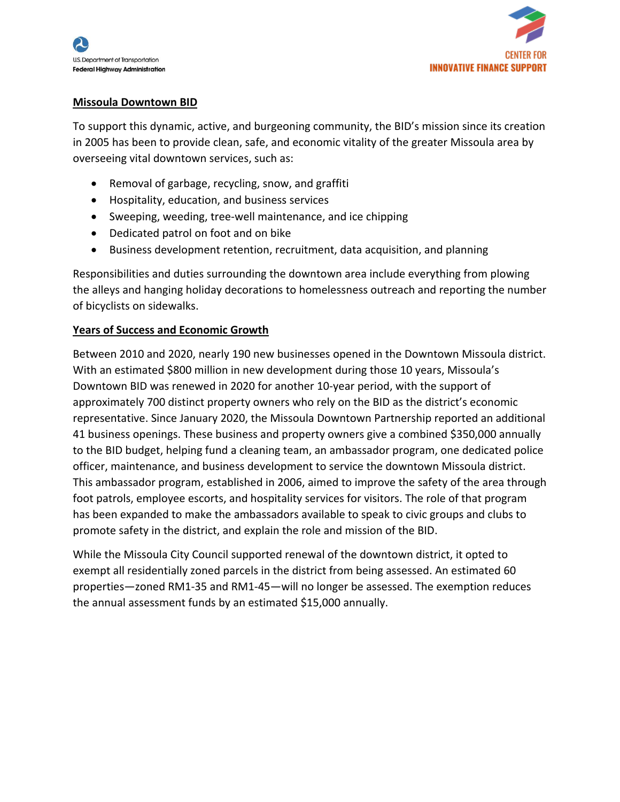

#### **Missoula Downtown BID**

To support this dynamic, active, and burgeoning community, the BID's mission since its creation in 2005 has been to provide clean, safe, and economic vitality of the greater Missoula area by overseeing vital downtown services, such as:

- Removal of garbage, recycling, snow, and graffiti
- Hospitality, education, and business services
- Sweeping, weeding, tree-well maintenance, and ice chipping
- Dedicated patrol on foot and on bike
- Business development retention, recruitment, data acquisition, and planning

Responsibilities and duties surrounding the downtown area include everything from plowing the alleys and hanging holiday decorations to homelessness outreach and reporting the number of bicyclists on sidewalks.

#### **Years of Success and Economic Growth**

Between 2010 and 2020, nearly 190 new businesses opened in the Downtown Missoula district. With an estimated \$800 million in new development during those 10 years, Missoula's Downtown BID was renewed in 2020 for another 10-year period, with the support of approximately 700 distinct property owners who rely on the BID as the district's economic representative. Since January 2020, the Missoula Downtown Partnership reported an additional 41 business openings. These business and property owners give a combined \$350,000 annually to the BID budget, helping fund a cleaning team, an ambassador program, one dedicated police officer, maintenance, and business development to service the downtown Missoula district. This ambassador program, established in 2006, aimed to improve the safety of the area through foot patrols, employee escorts, and hospitality services for visitors. The role of that program has been expanded to make the ambassadors available to speak to civic groups and clubs to promote safety in the district, and explain the role and mission of the BID.

While the Missoula City Council supported renewal of the downtown district, it opted to exempt all residentially zoned parcels in the district from being assessed. An estimated 60 properties—zoned RM1-35 and RM1-45—will no longer be assessed. The exemption reduces the annual assessment funds by an estimated \$15,000 annually.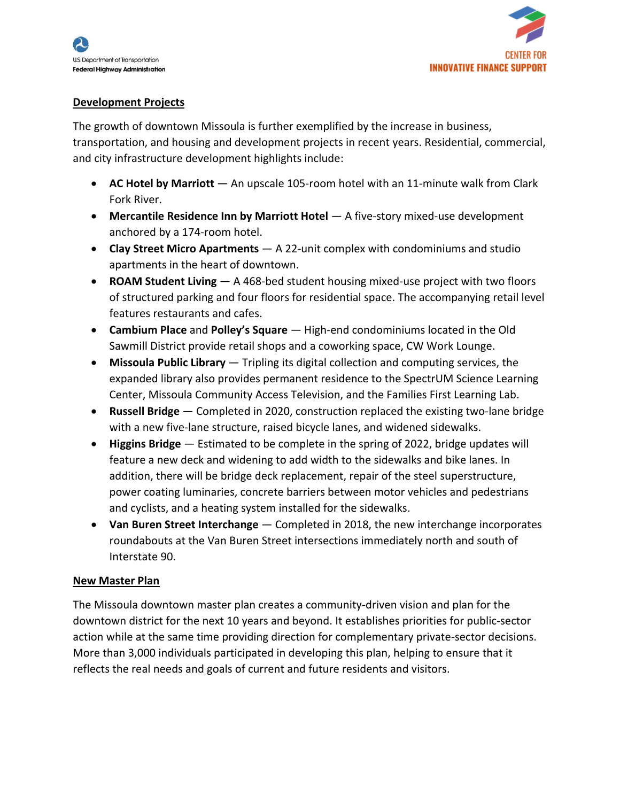

### **Development Projects**

The growth of downtown Missoula is further exemplified by the increase in business, transportation, and housing and development projects in recent years. Residential, commercial, and city infrastructure development highlights include:

- **AC Hotel by Marriott** An upscale 105-room hotel with an 11-minute walk from Clark Fork River.
- **Mercantile Residence Inn by Marriott Hotel** A five-story mixed-use development anchored by a 174-room hotel.
- **Clay Street Micro Apartments** A 22-unit complex with condominiums and studio apartments in the heart of downtown.
- **ROAM Student Living** A 468-bed student housing mixed-use project with two floors of structured parking and four floors for residential space. The accompanying retail level features restaurants and cafes.
- **Cambium Place** and **Polley's Square** High-end condominiums located in the Old Sawmill District provide retail shops and a coworking space, CW Work Lounge.
- **Missoula Public Library** Tripling its digital collection and computing services, the expanded library also provides permanent residence to the SpectrUM Science Learning Center, Missoula Community Access Television, and the Families First Learning Lab.
- **Russell Bridge** Completed in 2020, construction replaced the existing two-lane bridge with a new five-lane structure, raised bicycle lanes, and widened sidewalks.
- **Higgins Bridge** Estimated to be complete in the spring of 2022, bridge updates will feature a new deck and widening to add width to the sidewalks and bike lanes. In addition, there will be bridge deck replacement, repair of the steel superstructure, power coating luminaries, concrete barriers between motor vehicles and pedestrians and cyclists, and a heating system installed for the sidewalks.
- **Van Buren Street Interchange** Completed in 2018, the new interchange incorporates roundabouts at the Van Buren Street intersections immediately north and south of Interstate 90.

#### **New Master Plan**

The Missoula downtown master plan creates a community-driven vision and plan for the downtown district for the next 10 years and beyond. It establishes priorities for public-sector action while at the same time providing direction for complementary private-sector decisions. More than 3,000 individuals participated in developing this plan, helping to ensure that it reflects the real needs and goals of current and future residents and visitors.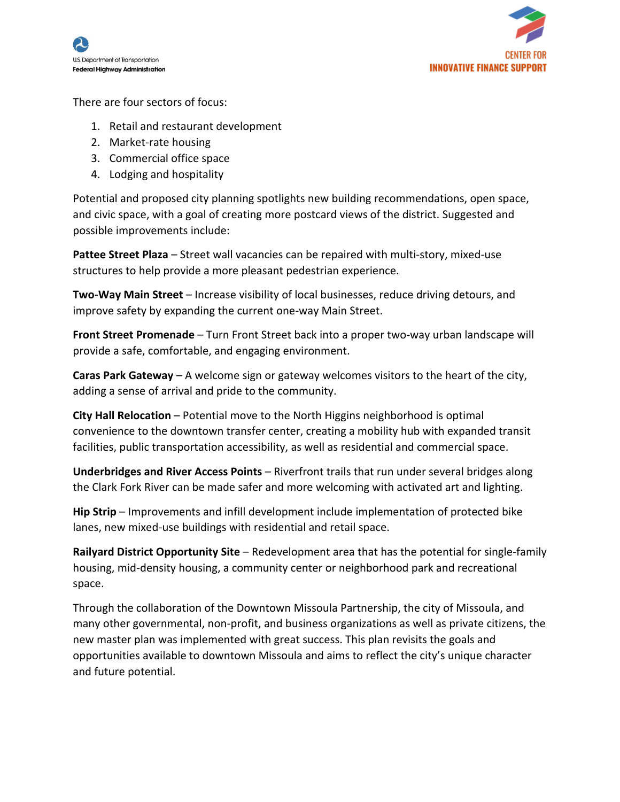



There are four sectors of focus:

- 1. Retail and restaurant development
- 2. Market-rate housing
- 3. Commercial office space
- 4. Lodging and hospitality

Potential and proposed city planning spotlights new building recommendations, open space, and civic space, with a goal of creating more postcard views of the district. Suggested and possible improvements include:

**Pattee Street Plaza** – Street wall vacancies can be repaired with multi-story, mixed-use structures to help provide a more pleasant pedestrian experience.

**Two-Way Main Street** – Increase visibility of local businesses, reduce driving detours, and improve safety by expanding the current one-way Main Street.

**Front Street Promenade** – Turn Front Street back into a proper two-way urban landscape will provide a safe, comfortable, and engaging environment.

**Caras Park Gateway** – A welcome sign or gateway welcomes visitors to the heart of the city, adding a sense of arrival and pride to the community.

**City Hall Relocation** – Potential move to the North Higgins neighborhood is optimal convenience to the downtown transfer center, creating a mobility hub with expanded transit facilities, public transportation accessibility, as well as residential and commercial space.

**Underbridges and River Access Points** – Riverfront trails that run under several bridges along the Clark Fork River can be made safer and more welcoming with activated art and lighting.

**Hip Strip** – Improvements and infill development include implementation of protected bike lanes, new mixed-use buildings with residential and retail space.

**Railyard District Opportunity Site** – Redevelopment area that has the potential for single-family housing, mid-density housing, a community center or neighborhood park and recreational space.

Through the collaboration of the Downtown Missoula Partnership, the city of Missoula, and many other governmental, non-profit, and business organizations as well as private citizens, the new master plan was implemented with great success. This plan revisits the goals and opportunities available to downtown Missoula and aims to reflect the city's unique character and future potential.